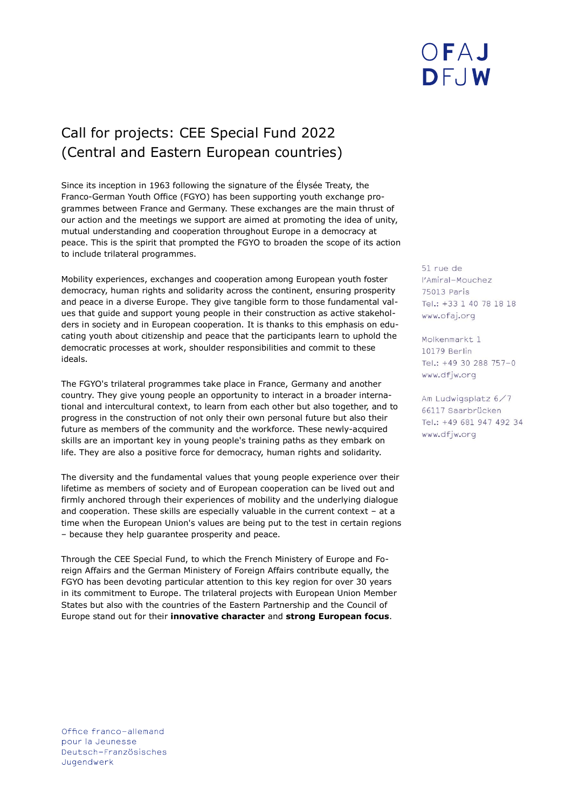# Call for projects: CEE Special Fund 2022 (Central and Eastern European countries)

Since its inception in 1963 following the signature of the Élysée Treaty, the Franco-German Youth Office (FGYO) has been supporting youth exchange programmes between France and Germany. These exchanges are the main thrust of our action and the meetings we support are aimed at promoting the idea of unity, mutual understanding and cooperation throughout Europe in a democracy at peace. This is the spirit that prompted the FGYO to broaden the scope of its action to include trilateral programmes.

Mobility experiences, exchanges and cooperation among European youth foster democracy, human rights and solidarity across the continent, ensuring prosperity and peace in a diverse Europe. They give tangible form to those fundamental values that guide and support young people in their construction as active stakeholders in society and in European cooperation. It is thanks to this emphasis on educating youth about citizenship and peace that the participants learn to uphold the democratic processes at work, shoulder responsibilities and commit to these ideals.

The FGYO's trilateral programmes take place in France, Germany and another country. They give young people an opportunity to interact in a broader international and intercultural context, to learn from each other but also together, and to progress in the construction of not only their own personal future but also their future as members of the community and the workforce. These newly-acquired skills are an important key in young people's training paths as they embark on life. They are also a positive force for democracy, human rights and solidarity.

The diversity and the fundamental values that young people experience over their lifetime as members of society and of European cooperation can be lived out and firmly anchored through their experiences of mobility and the underlying dialogue and cooperation. These skills are especially valuable in the current context – at a time when the European Union's values are being put to the test in certain regions – because they help guarantee prosperity and peace.

Through the CEE Special Fund, to which the French Ministery of Europe and Foreign Affairs and the German Ministery of Foreign Affairs contribute equally, the FGYO has been devoting particular attention to this key region for over 30 years in its commitment to Europe. The trilateral projects with European Union Member States but also with the countries of the Eastern Partnership and the Council of Europe stand out for their **innovative character** and **strong European focus**.

51 rue de l'Amiral-Mouchez 75013 Paris Tel.: +33 1 40 78 18 18 www.ofaj.org

OFAJ

DFJW

Molkenmarkt 1 10179 Berlin Tel.: +49 30 288 757-0 www.dfjw.org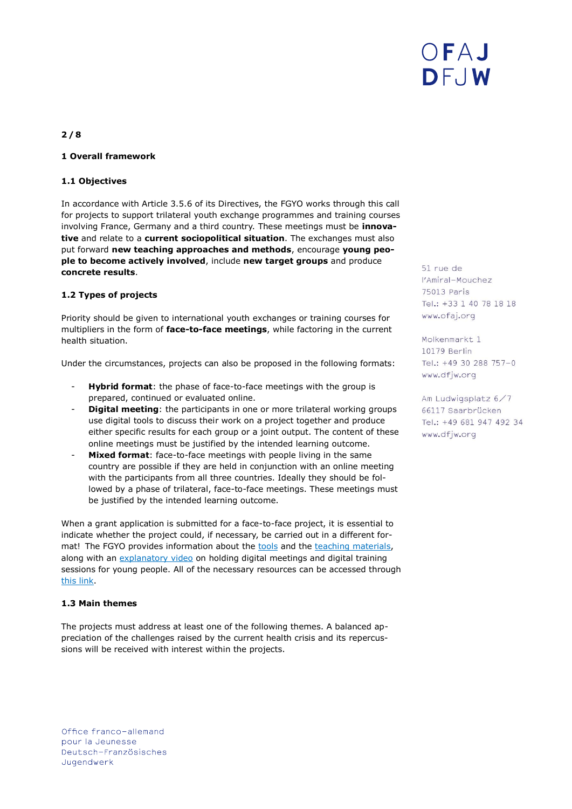

# **2 / 8**

### **1 Overall framework**

#### **1.1 Objectives**

In accordance with Article 3.5.6 of its Directives, the FGYO works through this call for projects to support trilateral youth exchange programmes and training courses involving France, Germany and a third country. These meetings must be **innovative** and relate to a **current sociopolitical situation**. The exchanges must also put forward **new teaching approaches and methods**, encourage **young people to become actively involved**, include **new target groups** and produce **concrete results**.

### **1.2 Types of projects**

Priority should be given to international youth exchanges or training courses for multipliers in the form of **face-to-face meetings**, while factoring in the current health situation.

Under the circumstances, projects can also be proposed in the following formats:

- Hybrid format: the phase of face-to-face meetings with the group is prepared, continued or evaluated online.
- **Digital meeting**: the participants in one or more trilateral working groups use digital tools to discuss their work on a project together and produce either specific results for each group or a joint output. The content of these online meetings must be justified by the intended learning outcome.
- Mixed format: face-to-face meetings with people living in the same country are possible if they are held in conjunction with an online meeting with the participants from all three countries. Ideally they should be followed by a phase of trilateral, face-to-face meetings. These meetings must be justified by the intended learning outcome.

When a grant application is submitted for a face-to-face project, it is essential to indicate whether the project could, if necessary, be carried out in a different format! The FGYO provides information about the [tools](https://www.ofaj.org/ressources/outils-numeriques.html) and the [teaching materials,](https://www.ofaj.org/ressources.html?category%5B%5D=133) along with an [explanatory video](https://www.youtube.com/watch?v=bubwMKKCrZI) on holding digital meetings and digital training sessions for young people. All of the necessary resources can be accessed through [this link.](https://www.ofaj.org/organiser-un-echange-franco-allemand-ou-trinational-en-2021.html)

#### **1.3 Main themes**

The projects must address at least one of the following themes. A balanced appreciation of the challenges raised by the current health crisis and its repercussions will be received with interest within the projects.

51 rue de l'Amiral-Mouchez 75013 Paris Tel.: +33 1 40 78 18 18 www.ofaj.org

Molkenmarkt 1 10179 Berlin Tel.: +49 30 288 757-0 www.dfjw.org

Am Ludwigsplatz 6/7 66117 Saarbrücken Tel.: +49 681 947 492 34 www.dfjw.org

Office franco-allemand pour la Jeunesse Deutsch-Französisches Jugendwerk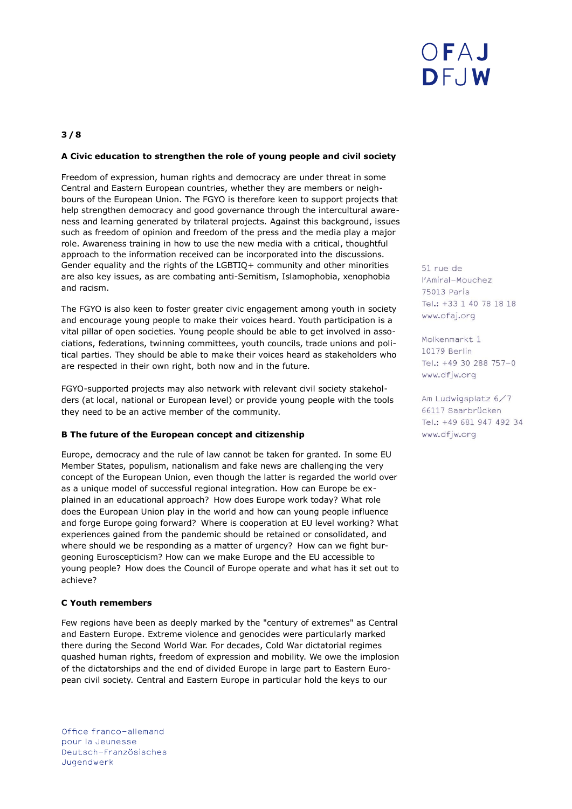# **3 / 8**

### **A Civic education to strengthen the role of young people and civil society**

Freedom of expression, human rights and democracy are under threat in some Central and Eastern European countries, whether they are members or neighbours of the European Union. The FGYO is therefore keen to support projects that help strengthen democracy and good governance through the intercultural awareness and learning generated by trilateral projects. Against this background, issues such as freedom of opinion and freedom of the press and the media play a major role. Awareness training in how to use the new media with a critical, thoughtful approach to the information received can be incorporated into the discussions. Gender equality and the rights of the LGBTIQ+ community and other minorities are also key issues, as are combating anti-Semitism, Islamophobia, xenophobia and racism.

The FGYO is also keen to foster greater civic engagement among youth in society and encourage young people to make their voices heard. Youth participation is a vital pillar of open societies. Young people should be able to get involved in associations, federations, twinning committees, youth councils, trade unions and political parties. They should be able to make their voices heard as stakeholders who are respected in their own right, both now and in the future.

FGYO-supported projects may also network with relevant civil society stakeholders (at local, national or European level) or provide young people with the tools they need to be an active member of the community.

#### **B The future of the European concept and citizenship**

Europe, democracy and the rule of law cannot be taken for granted. In some EU Member States, populism, nationalism and fake news are challenging the very concept of the European Union, even though the latter is regarded the world over as a unique model of successful regional integration. How can Europe be explained in an educational approach? How does Europe work today? What role does the European Union play in the world and how can young people influence and forge Europe going forward? Where is cooperation at EU level working? What experiences gained from the pandemic should be retained or consolidated, and where should we be responding as a matter of urgency? How can we fight burgeoning Euroscepticism? How can we make Europe and the EU accessible to young people? How does the Council of Europe operate and what has it set out to achieve?

#### **C Youth remembers**

Few regions have been as deeply marked by the "century of extremes" as Central and Eastern Europe. Extreme violence and genocides were particularly marked there during the Second World War. For decades, Cold War dictatorial regimes quashed human rights, freedom of expression and mobility. We owe the implosion of the dictatorships and the end of divided Europe in large part to Eastern European civil society. Central and Eastern Europe in particular hold the keys to our

Office franco-allemand pour la Jeunesse Deutsch-Französisches Jugendwerk

51 rue de l'Amiral-Mouchez 75013 Paris Tel.: +33 1 40 78 18 18 www.ofaj.org

Molkenmarkt 1 10179 Berlin Tel.: +49 30 288 757-0 www.dfjw.org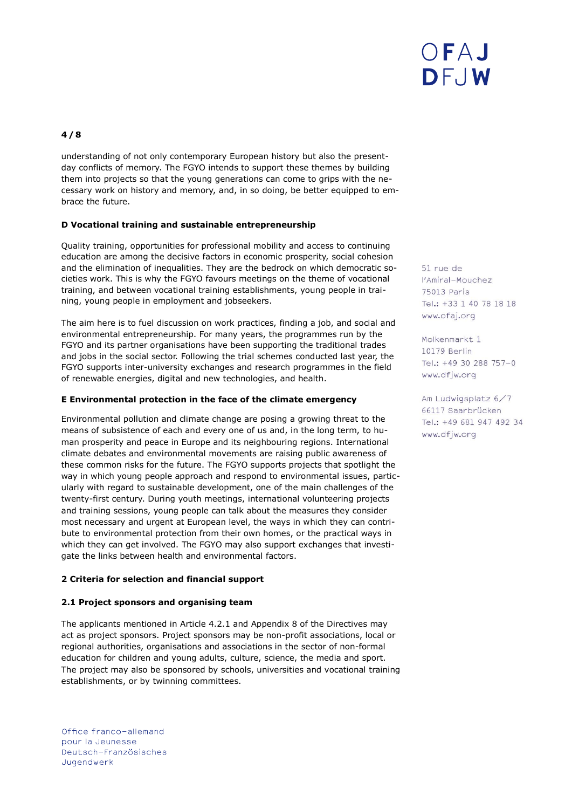# **4 / 8**

understanding of not only contemporary European history but also the presentday conflicts of memory. The FGYO intends to support these themes by building them into projects so that the young generations can come to grips with the necessary work on history and memory, and, in so doing, be better equipped to embrace the future.

### **D Vocational training and sustainable entrepreneurship**

Quality training, opportunities for professional mobility and access to continuing education are among the decisive factors in economic prosperity, social cohesion and the elimination of inequalities. They are the bedrock on which democratic societies work. This is why the FGYO favours meetings on the theme of vocational training, and between vocational training establishments, young people in training, young people in employment and jobseekers.

The aim here is to fuel discussion on work practices, finding a job, and social and environmental entrepreneurship. For many years, the programmes run by the FGYO and its partner organisations have been supporting the traditional trades and jobs in the social sector. Following the trial schemes conducted last year, the FGYO supports inter-university exchanges and research programmes in the field of renewable energies, digital and new technologies, and health.

### **E Environmental protection in the face of the climate emergency**

Environmental pollution and climate change are posing a growing threat to the means of subsistence of each and every one of us and, in the long term, to human prosperity and peace in Europe and its neighbouring regions. International climate debates and environmental movements are raising public awareness of these common risks for the future. The FGYO supports projects that spotlight the way in which young people approach and respond to environmental issues, particularly with regard to sustainable development, one of the main challenges of the twenty-first century. During youth meetings, international volunteering projects and training sessions, young people can talk about the measures they consider most necessary and urgent at European level, the ways in which they can contribute to environmental protection from their own homes, or the practical ways in which they can get involved. The FGYO may also support exchanges that investigate the links between health and environmental factors.

# **2 Criteria for selection and financial support**

### **2.1 Project sponsors and organising team**

The applicants mentioned in Article 4.2.1 and Appendix 8 of the Directives may act as project sponsors. Project sponsors may be non-profit associations, local or regional authorities, organisations and associations in the sector of non-formal education for children and young adults, culture, science, the media and sport. The project may also be sponsored by schools, universities and vocational training establishments, or by twinning committees.

Office franco-allemand pour la Jeunesse Deutsch-Französisches Jugendwerk

51 rue de l'Amiral-Mouchez 75013 Paris Tel.: +33 1 40 78 18 18 www.ofaj.org

Molkenmarkt 1 10179 Berlin Tel.: +49 30 288 757-0 www.dfjw.org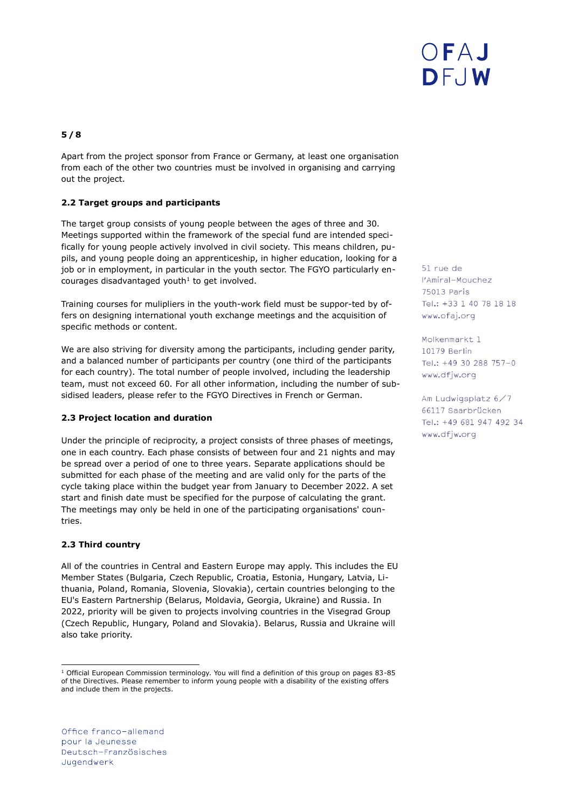# **5 / 8**

Apart from the project sponsor from France or Germany, at least one organisation from each of the other two countries must be involved in organising and carrying out the project.

# **2.2 Target groups and participants**

The target group consists of young people between the ages of three and 30. Meetings supported within the framework of the special fund are intended specifically for young people actively involved in civil society. This means children, pupils, and young people doing an apprenticeship, in higher education, looking for a job or in employment, in particular in the youth sector. The FGYO particularly encourages disadvantaged youth $1$  to get involved.

Training courses for mulipliers in the youth-work field must be suppor-ted by offers on designing international youth exchange meetings and the acquisition of specific methods or content.

We are also striving for diversity among the participants, including gender parity, and a balanced number of participants per country (one third of the participants for each country). The total number of people involved, including the leadership team, must not exceed 60. For all other information, including the number of subsidised leaders, please refer to the [FGYO Directives](https://www.ofaj.org/ressources/directives-richtlinien.html) in French or German.

### **2.3 Project location and duration**

Under the principle of reciprocity, a project consists of three phases of meetings, one in each country. Each phase consists of between four and 21 nights and may be spread over a period of one to three years. Separate applications should be submitted for each phase of the meeting and are valid only for the parts of the cycle taking place within the budget year from January to December 2022. A set start and finish date must be specified for the purpose of calculating the grant. The meetings may only be held in one of the participating organisations' countries.

# **2.3 Third country**

1

All of the countries in Central and Eastern Europe may apply. This includes the EU Member States (Bulgaria, Czech Republic, Croatia, Estonia, Hungary, Latvia, Lithuania, Poland, Romania, Slovenia, Slovakia), certain countries belonging to the EU's Eastern Partnership (Belarus, Moldavia, Georgia, Ukraine) and Russia. In 2022, priority will be given to projects involving countries in the Visegrad Group (Czech Republic, Hungary, Poland and Slovakia). Belarus, Russia and Ukraine will also take priority.

Office franco-allemand pour la Jeunesse Deutsch-Französisches Jugendwerk

51 rue de l'Amiral-Mouchez 75013 Paris Tel.: +33 1 40 78 18 18 www.ofaj.org

Molkenmarkt 1 10179 Berlin Tel.: +49 30 288 757-0 www.dfjw.org

<sup>&</sup>lt;sup>1</sup> Official European Commission terminology. You will find a definition of this group on pages 83-85 of the Directives. Please remember to inform young people with a disability of the existing offers and include them in the projects.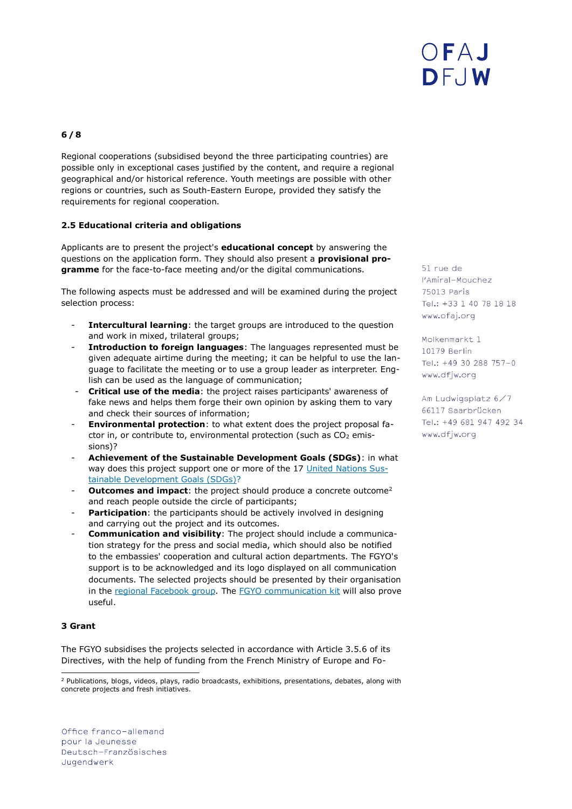# DFAJ DFJW

# **6 / 8**

Regional cooperations (subsidised beyond the three participating countries) are possible only in exceptional cases justified by the content, and require a regional geographical and/or historical reference. Youth meetings are possible with other regions or countries, such as South-Eastern Europe, provided they satisfy the requirements for regional cooperation.

### **2.5 Educational criteria and obligations**

Applicants are to present the project's **educational concept** by answering the questions on the application form. They should also present a **provisional programme** for the face-to-face meeting and/or the digital communications.

The following aspects must be addressed and will be examined during the project selection process:

- **Intercultural learning**: the target groups are introduced to the question and work in mixed, trilateral groups;
- **Introduction to foreign languages**: The languages represented must be given adequate airtime during the meeting; it can be helpful to use the language to facilitate the meeting or to use a group leader as interpreter. English can be used as the language of communication;
- **Critical use of the media**: the project raises participants' awareness of fake news and helps them forge their own opinion by asking them to vary and check their sources of information;
- **Environmental protection**: to what extent does the project proposal factor in, or contribute to, environmental protection (such as  $CO<sub>2</sub>$  emissions)?
- **Achievement of the Sustainable Development Goals (SDGs)**: in what way does this project support one or more of the 17 [United Nations Sus](https://www.un.org/sustainabledevelopment/)[tainable Development Goals \(SDGs\)?](https://www.un.org/sustainabledevelopment/)
- **Outcomes and impact:** the project should produce a concrete outcome<sup>2</sup> and reach people outside the circle of participants;
- **Participation:** the participants should be actively involved in designing and carrying out the project and its outcomes.
- **Communication and visibility**: The project should include a communication strategy for the press and social media, which should also be notified to the embassies' cooperation and cultural action departments. The FGYO's support is to be acknowledged and its logo displayed on all communication documents. The selected projects should be presented by their organisation in the [regional Facebook group.](https://www.facebook.com/groups/665121454109579) The [FGYO communication kit](https://www.ofaj.org/kit-de-communication.html) will also prove useful.

### **3 Grant**

The FGYO subsidises the projects selected in accordance with Article 3.5.6 of its Directives, with the help of funding from the French Ministry of Europe and Fo51 rue de l'Amiral-Mouchez 75013 Paris Tel.: +33 1 40 78 18 18 www.ofaj.org

Molkenmarkt 1 10179 Berlin Tel.: +49 30 288 757-0 www.dfjw.org

ł <sup>2</sup> Publications, blogs, videos, plays, radio broadcasts, exhibitions, presentations, debates, along with concrete projects and fresh initiatives.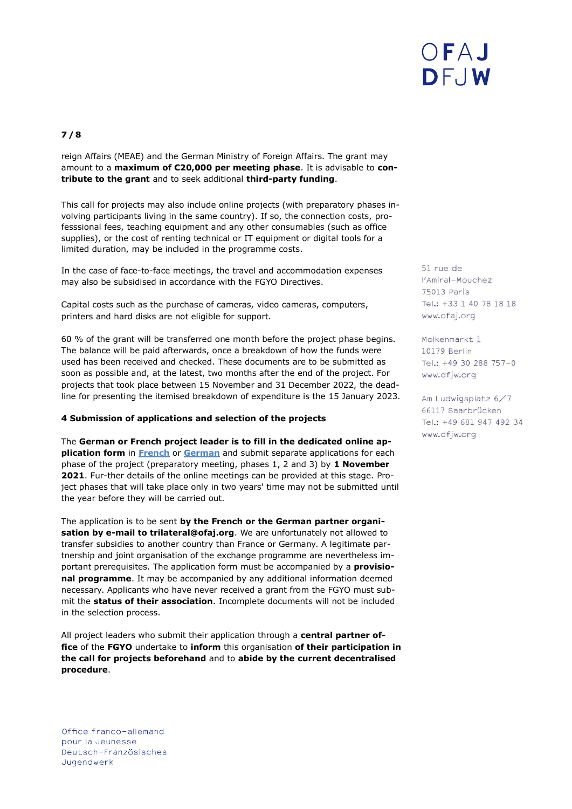# **7 / 8**

reign Affairs (MEAE) and the German Ministry of Foreign Affairs. The grant may amount to a **maximum of €20,000 per meeting phase**. It is advisable to **contribute to the grant** and to seek additional **third-party funding**.

This call for projects may also include online projects (with preparatory phases involving participants living in the same country). If so, the connection costs, professsional fees, teaching equipment and any other consumables (such as office supplies), or the cost of renting technical or IT equipment or digital tools for a limited duration, may be included in the programme costs.

In the case of face-to-face meetings, the travel and accommodation expenses may also be subsidised in accordance with the [FGYO Directives.](https://www.ofaj.org/ressources/directives-richtlinien.html)

Capital costs such as the purchase of cameras, video cameras, computers, printers and hard disks are not eligible for support.

60 % of the grant will be transferred one month before the project phase begins. The balance will be paid afterwards, once a breakdown of how the funds were used has been received and checked. These documents are to be submitted as soon as possible and, at the latest, two months after the end of the project. For projects that took place between 15 November and 31 December 2022, the deadline for presenting the itemised breakdown of expenditure is the 15 January 2023.

### **4 Submission of applications and selection of the projects**

The **German or French project leader is to fill in the dedicated [online ap](https://www.ofaj.org/media/formulaire-maghreb-remplissable.pdf)[plication form](https://www.ofaj.org/media/formulaire-maghreb-remplissable.pdf)** in **[French](https://www.ofaj.org/media/formulaire-peco-remplissable.pdf)** or **[German](https://www.ofaj.org/media/formular-moe-ausfuellbar.pdf)** and submit separate applications for each phase of the project (preparatory meeting, phases 1, 2 and 3) by **1 November 2021**. Fur-ther details of the online meetings can be provided at this stage. Project phases that will take place only in two years' time may not be submitted until the year before they will be carried out.

The application is to be sent **by the French or the German partner organisation by e-mail to trilateral@ofaj.org**. We are unfortunately not allowed to transfer subsidies to another country than France or Germany. A legitimate partnership and joint organisation of the exchange programme are nevertheless important prerequisites. The application form must be accompanied by a **provisional programme**. It may be accompanied by any additional information deemed necessary. Applicants who have never received a grant from the FGYO must submit the **status of their association**. Incomplete documents will not be included in the selection process.

All project leaders who submit their application through a **central partner office** of the **FGYO** undertake to **inform** this organisation **of their participation in the call for projects beforehand** and to **abide by the current decentralised procedure**.

51 rue de l'Amiral-Mouchez 75013 Paris Tel.: +33 1 40 78 18 18 www.ofaj.org

Molkenmarkt 1 10179 Berlin Tel.: +49 30 288 757-0 www.dfjw.org

Am Ludwigsplatz 6/7 66117 Saarbrücken Tel.: +49 681 947 492 34 www.dfjw.org

Office franco-allemand pour la Jeunesse Deutsch-Französisches Jugendwerk